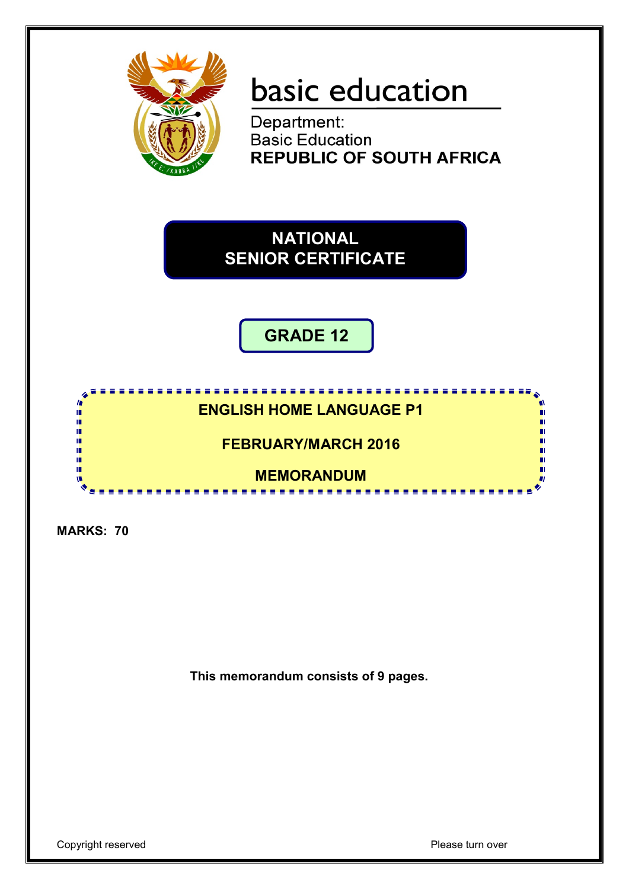

# basic education

Department: **Basic Education REPUBLIC OF SOUTH AFRICA** 

**NATIONAL SENIOR CERTIFICATE**

**GRADE 12**

# <u>...................</u> **ENGLISH HOME LANGUAGE P1**

**FEBRUARY/MARCH 2016**

**MEMORANDUM**

<u>...................</u>

**MARKS: 70**

I. ú, ú, I. I. ú, τĒ,

**This memorandum consists of 9 pages.**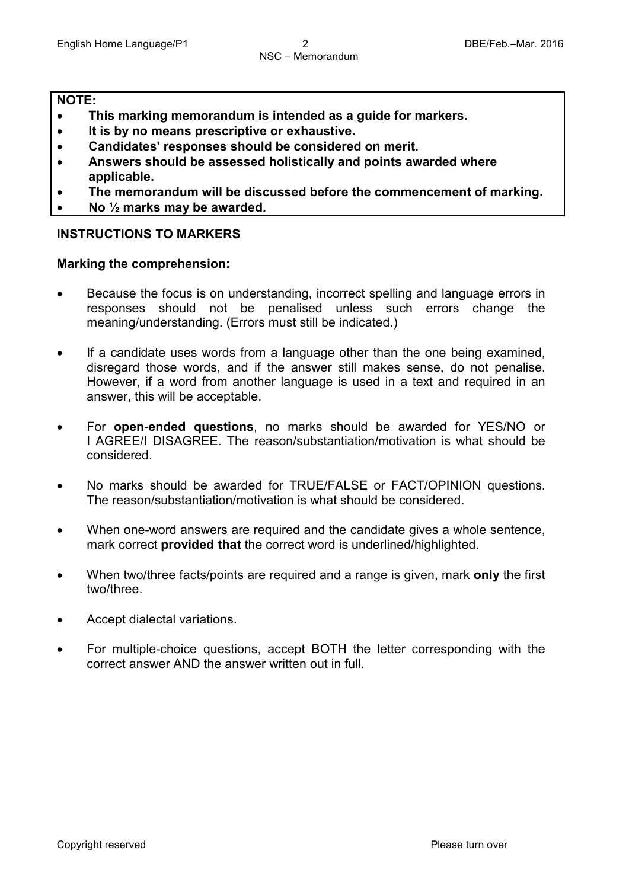#### **NOTE:**

- **This marking memorandum is intended as a guide for markers.**
- **It is by no means prescriptive or exhaustive.**
- **Candidates' responses should be considered on merit.**
- **Answers should be assessed holistically and points awarded where applicable.**
- **The memorandum will be discussed before the commencement of marking.**
- **No ½ marks may be awarded.**

## **INSTRUCTIONS TO MARKERS**

#### **Marking the comprehension:**

- Because the focus is on understanding, incorrect spelling and language errors in responses should not be penalised unless such errors change the meaning/understanding. (Errors must still be indicated.)
- If a candidate uses words from a language other than the one being examined, disregard those words, and if the answer still makes sense, do not penalise. However, if a word from another language is used in a text and required in an answer, this will be acceptable.
- For **open-ended questions**, no marks should be awarded for YES/NO or I AGREE/I DISAGREE. The reason/substantiation/motivation is what should be considered.
- No marks should be awarded for TRUE/FALSE or FACT/OPINION questions. The reason/substantiation/motivation is what should be considered.
- When one-word answers are required and the candidate gives a whole sentence, mark correct **provided that** the correct word is underlined/highlighted.
- When two/three facts/points are required and a range is given, mark **only** the first two/three.
- Accept dialectal variations.
- For multiple-choice questions, accept BOTH the letter corresponding with the correct answer AND the answer written out in full.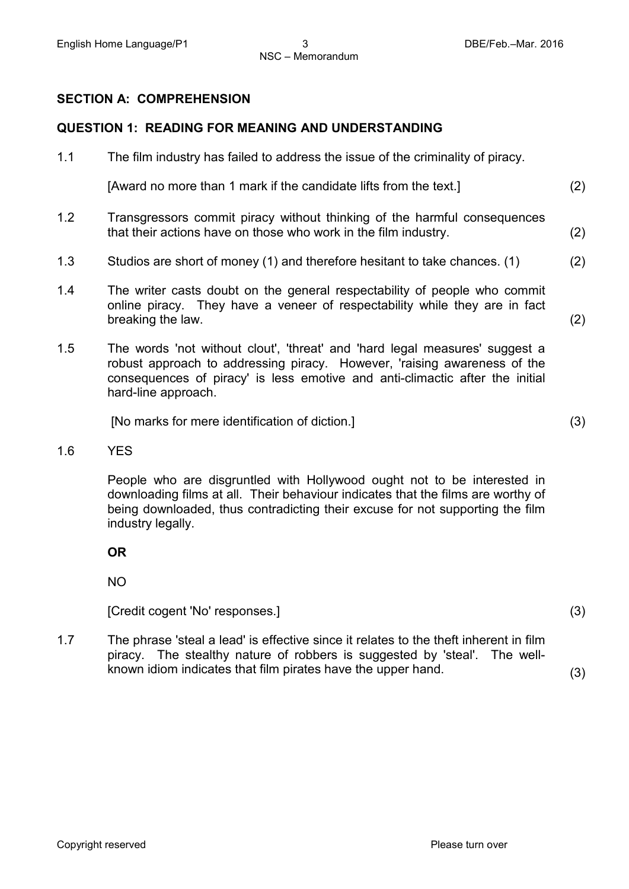#### **SECTION A: COMPREHENSION**

#### **QUESTION 1: READING FOR MEANING AND UNDERSTANDING**

| 1.1 | The film industry has failed to address the issue of the criminality of piracy.                                                                                                                                                                                   |     |  |  |  |
|-----|-------------------------------------------------------------------------------------------------------------------------------------------------------------------------------------------------------------------------------------------------------------------|-----|--|--|--|
|     | [Award no more than 1 mark if the candidate lifts from the text.]                                                                                                                                                                                                 | (2) |  |  |  |
| 1.2 | Transgressors commit piracy without thinking of the harmful consequences<br>that their actions have on those who work in the film industry.                                                                                                                       | (2) |  |  |  |
| 1.3 | Studios are short of money (1) and therefore hesitant to take chances. (1)                                                                                                                                                                                        | (2) |  |  |  |
| 1.4 | The writer casts doubt on the general respectability of people who commit<br>online piracy. They have a veneer of respectability while they are in fact<br>breaking the law.                                                                                      | (2) |  |  |  |
| 1.5 | The words 'not without clout', 'threat' and 'hard legal measures' suggest a<br>robust approach to addressing piracy. However, 'raising awareness of the<br>consequences of piracy' is less emotive and anti-climactic after the initial<br>hard-line approach.    |     |  |  |  |
|     | [No marks for mere identification of diction.]                                                                                                                                                                                                                    | (3) |  |  |  |
| 1.6 | <b>YES</b>                                                                                                                                                                                                                                                        |     |  |  |  |
|     | People who are disgruntled with Hollywood ought not to be interested in<br>downloading films at all. Their behaviour indicates that the films are worthy of<br>being downloaded, thus contradicting their excuse for not supporting the film<br>industry legally. |     |  |  |  |

**OR**

NO

[Credit cogent 'No' responses.] (3)

1.7 The phrase 'steal a lead' is effective since it relates to the theft inherent in film piracy. The stealthy nature of robbers is suggested by 'steal'. The wellknown idiom indicates that film pirates have the upper hand. (3)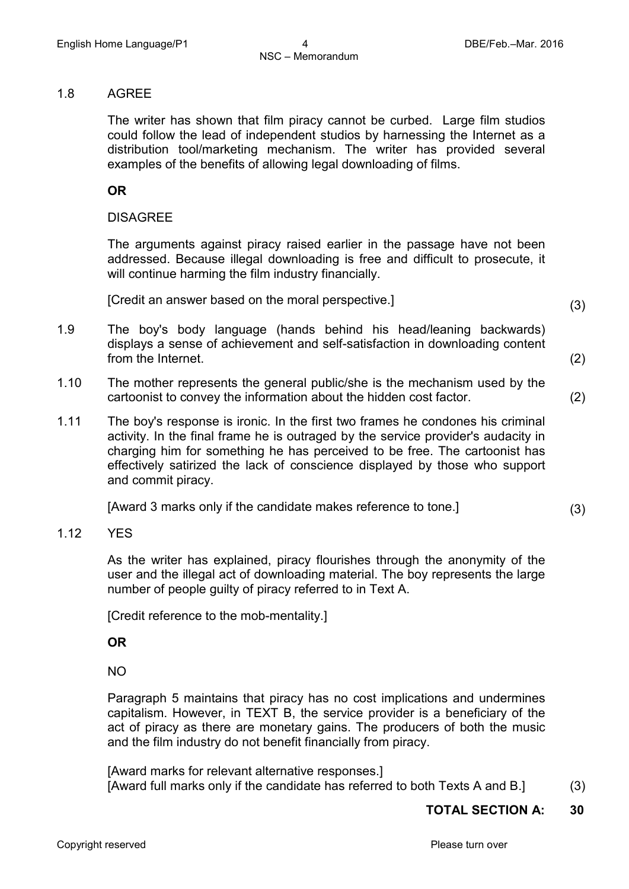#### 1.8 AGREE

The writer has shown that film piracy cannot be curbed. Large film studios could follow the lead of independent studios by harnessing the Internet as a distribution tool/marketing mechanism. The writer has provided several examples of the benefits of allowing legal downloading of films.

#### **OR**

#### DISAGREE

The arguments against piracy raised earlier in the passage have not been addressed. Because illegal downloading is free and difficult to prosecute, it will continue harming the film industry financially.

[Credit an answer based on the moral perspective.] (3)

- 
- 1.9 The boy's body language (hands behind his head/leaning backwards) displays a sense of achievement and self-satisfaction in downloading content from the Internet. (2)
- 1.10 The mother represents the general public/she is the mechanism used by the cartoonist to convey the information about the hidden cost factor. (2)
- 1.11 The boy's response is ironic. In the first two frames he condones his criminal activity. In the final frame he is outraged by the service provider's audacity in charging him for something he has perceived to be free. The cartoonist has effectively satirized the lack of conscience displayed by those who support and commit piracy.

[Award 3 marks only if the candidate makes reference to tone.] (3)

#### 1.12 YES

As the writer has explained, piracy flourishes through the anonymity of the user and the illegal act of downloading material. The boy represents the large number of people guilty of piracy referred to in Text A.

[Credit reference to the mob-mentality.]

#### **OR**

NO

Paragraph 5 maintains that piracy has no cost implications and undermines capitalism. However, in TEXT B, the service provider is a beneficiary of the act of piracy as there are monetary gains. The producers of both the music and the film industry do not benefit financially from piracy.

[Award marks for relevant alternative responses.] [Award full marks only if the candidate has referred to both Texts A and B.] (3)

## **TOTAL SECTION A: 30**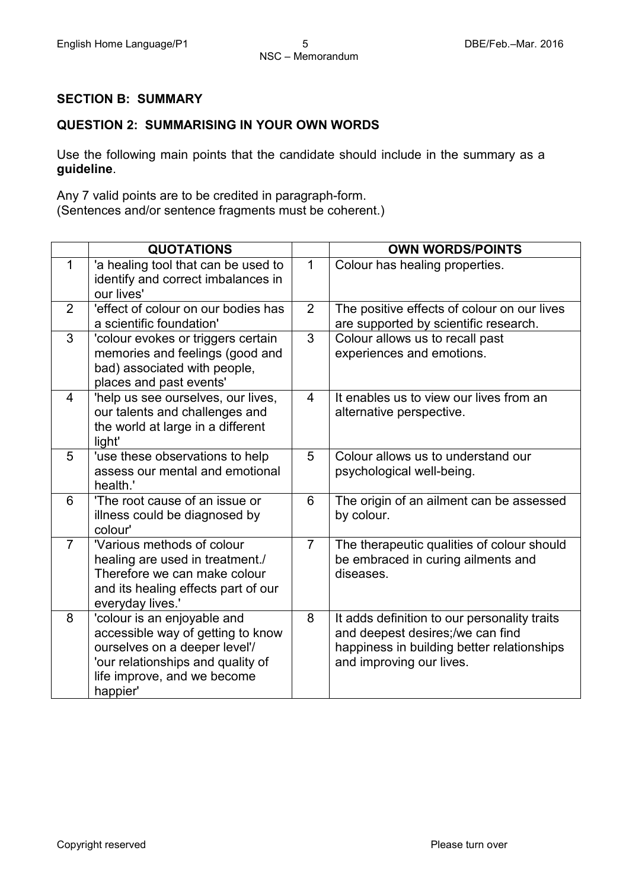#### **SECTION B: SUMMARY**

#### **QUESTION 2: SUMMARISING IN YOUR OWN WORDS**

Use the following main points that the candidate should include in the summary as a **guideline**.

Any 7 valid points are to be credited in paragraph-form. (Sentences and/or sentence fragments must be coherent.)

|                | <b>QUOTATIONS</b>                                                                                                                                                                 |                | <b>OWN WORDS/POINTS</b>                                                                                                                                    |
|----------------|-----------------------------------------------------------------------------------------------------------------------------------------------------------------------------------|----------------|------------------------------------------------------------------------------------------------------------------------------------------------------------|
| $\mathbf 1$    | 'a healing tool that can be used to<br>identify and correct imbalances in<br>our lives'                                                                                           | $\mathbf{1}$   | Colour has healing properties.                                                                                                                             |
| $\overline{2}$ | 'effect of colour on our bodies has<br>a scientific foundation'                                                                                                                   | $\overline{2}$ | The positive effects of colour on our lives<br>are supported by scientific research.                                                                       |
| 3              | 'colour evokes or triggers certain<br>memories and feelings (good and<br>bad) associated with people,<br>places and past events'                                                  | 3              | Colour allows us to recall past<br>experiences and emotions.                                                                                               |
| 4              | 'help us see ourselves, our lives,<br>our talents and challenges and<br>the world at large in a different<br>light'                                                               | $\overline{4}$ | It enables us to view our lives from an<br>alternative perspective.                                                                                        |
| 5              | 'use these observations to help<br>assess our mental and emotional<br>health.'                                                                                                    | 5              | Colour allows us to understand our<br>psychological well-being.                                                                                            |
| 6              | 'The root cause of an issue or<br>illness could be diagnosed by<br>colour'                                                                                                        | 6              | The origin of an ailment can be assessed<br>by colour.                                                                                                     |
| $\overline{7}$ | 'Various methods of colour<br>healing are used in treatment./<br>Therefore we can make colour<br>and its healing effects part of our<br>everyday lives.'                          | $\overline{7}$ | The therapeutic qualities of colour should<br>be embraced in curing ailments and<br>diseases.                                                              |
| 8              | 'colour is an enjoyable and<br>accessible way of getting to know<br>ourselves on a deeper level'/<br>'our relationships and quality of<br>life improve, and we become<br>happier' | 8              | It adds definition to our personality traits<br>and deepest desires;/we can find<br>happiness in building better relationships<br>and improving our lives. |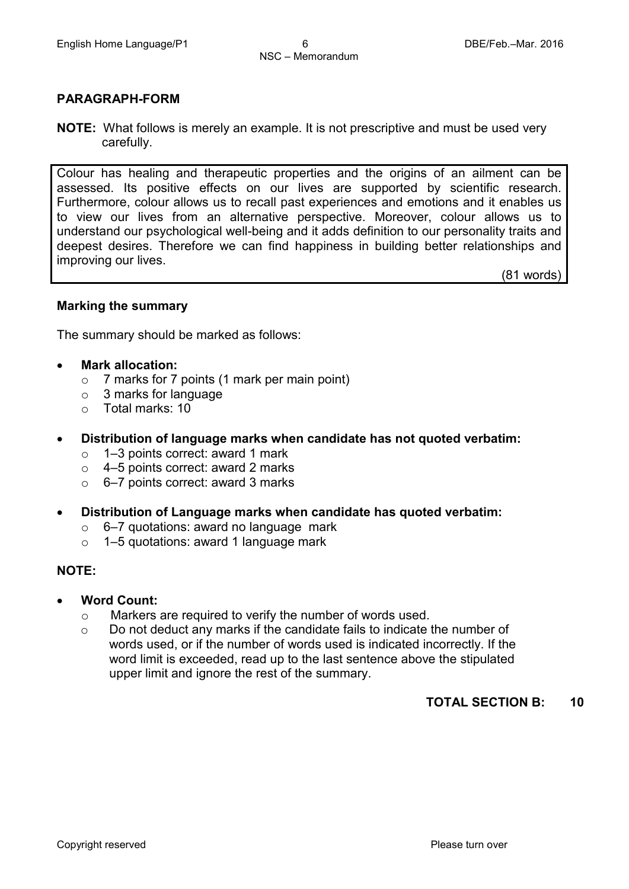#### **PARAGRAPH-FORM**

**NOTE:** What follows is merely an example. It is not prescriptive and must be used very carefully.

Colour has healing and therapeutic properties and the origins of an ailment can be assessed. Its positive effects on our lives are supported by scientific research. Furthermore, colour allows us to recall past experiences and emotions and it enables us to view our lives from an alternative perspective. Moreover, colour allows us to understand our psychological well-being and it adds definition to our personality traits and deepest desires. Therefore we can find happiness in building better relationships and improving our lives.

(81 words)

#### **Marking the summary**

The summary should be marked as follows:

- **Mark allocation:**
	- $\circ$  7 marks for 7 points (1 mark per main point)<br> $\circ$  3 marks for language
	- $\circ$  3 marks for language<br> $\circ$  Total marks: 10
	- Total marks: 10
- **Distribution of language marks when candidate has not quoted verbatim:**
	- o 1–3 points correct: award 1 mark
	- $\circ$  4–5 points correct: award 2 marks<br> $\circ$  6–7 points correct: award 3 marks
	- o 6–7 points correct: award 3 marks
- **Distribution of Language marks when candidate has quoted verbatim:** 
	- $\circ$  6–7 quotations: award no language mark
	- o 1–5 quotations: award 1 language mark

#### **NOTE:**

- **Word Count:**
	- o Markers are required to verify the number of words used.
	- o Do not deduct any marks if the candidate fails to indicate the number of words used, or if the number of words used is indicated incorrectly. If the word limit is exceeded, read up to the last sentence above the stipulated upper limit and ignore the rest of the summary.

#### **TOTAL SECTION B: 10**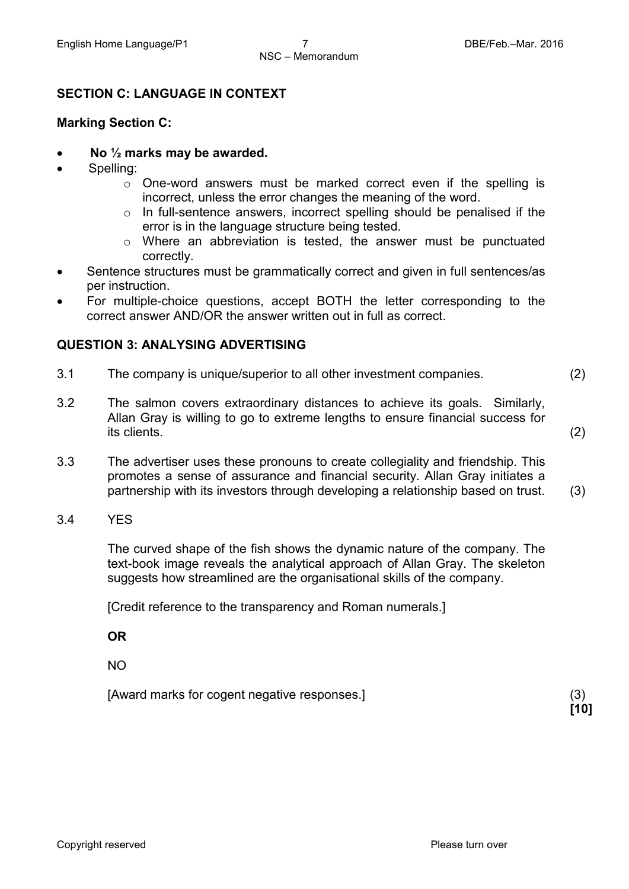#### **SECTION C: LANGUAGE IN CONTEXT**

#### **Marking Section C:**

- **No ½ marks may be awarded.**
- Spelling:
	- $\circ$  One-word answers must be marked correct even if the spelling is incorrect, unless the error changes the meaning of the word.
	- o In full-sentence answers, incorrect spelling should be penalised if the error is in the language structure being tested.
	- o Where an abbreviation is tested, the answer must be punctuated correctly.
- Sentence structures must be grammatically correct and given in full sentences/as per instruction.
- For multiple-choice questions, accept BOTH the letter corresponding to the correct answer AND/OR the answer written out in full as correct.

#### **QUESTION 3: ANALYSING ADVERTISING**

- 3.1 The company is unique/superior to all other investment companies. (2)
- 3.2 The salmon covers extraordinary distances to achieve its goals. Similarly, Allan Gray is willing to go to extreme lengths to ensure financial success for its clients. (2)
- 3.3 The advertiser uses these pronouns to create collegiality and friendship. This promotes a sense of assurance and financial security. Allan Gray initiates a partnership with its investors through developing a relationship based on trust. (3)
- 3.4 YES

The curved shape of the fish shows the dynamic nature of the company. The text-book image reveals the analytical approach of Allan Gray. The skeleton suggests how streamlined are the organisational skills of the company.

 **[10]**

[Credit reference to the transparency and Roman numerals.]

**OR**

NO

[Award marks for cogent negative responses.] (3)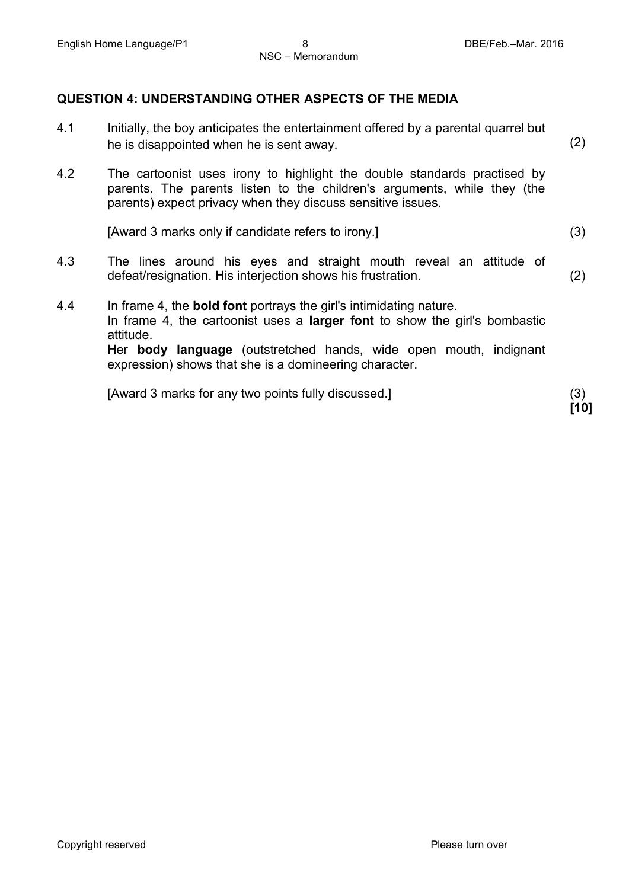#### **QUESTION 4: UNDERSTANDING OTHER ASPECTS OF THE MEDIA**

- 4.1 Initially, the boy anticipates the entertainment offered by a parental quarrel but he is disappointed when he is sent away. (2)
- 4.2 The cartoonist uses irony to highlight the double standards practised by parents. The parents listen to the children's arguments, while they (the parents) expect privacy when they discuss sensitive issues.

[Award 3 marks only if candidate refers to irony.] (3)

- 4.3 The lines around his eyes and straight mouth reveal an attitude of defeat/resignation. His interjection shows his frustration. (2)
- 4.4 In frame 4, the **bold font** portrays the girl's intimidating nature. In frame 4, the cartoonist uses a **larger font** to show the girl's bombastic attitude. Her **body language** (outstretched hands, wide open mouth, indignant expression) shows that she is a domineering character.

[Award 3 marks for any two points fully discussed.] (3)

**[10]**